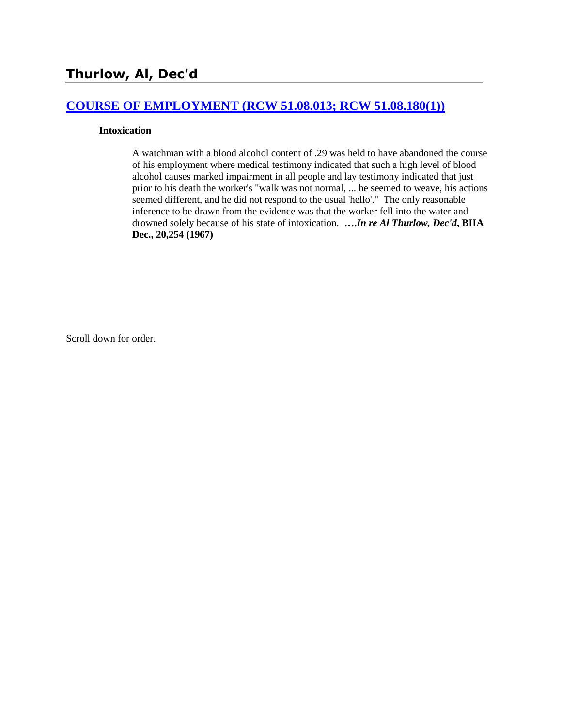# **[COURSE OF EMPLOYMENT \(RCW 51.08.013; RCW 51.08.180\(1\)\)](http://www.biia.wa.gov/SDSubjectIndex.html#COURSE_OF_EMPLOYMENT)**

#### **Intoxication**

A watchman with a blood alcohol content of .29 was held to have abandoned the course of his employment where medical testimony indicated that such a high level of blood alcohol causes marked impairment in all people and lay testimony indicated that just prior to his death the worker's "walk was not normal, ... he seemed to weave, his actions seemed different, and he did not respond to the usual 'hello'." The only reasonable inference to be drawn from the evidence was that the worker fell into the water and drowned solely because of his state of intoxication. **….***In re Al Thurlow, Dec'd***, BIIA Dec., 20,254 (1967)** 

Scroll down for order.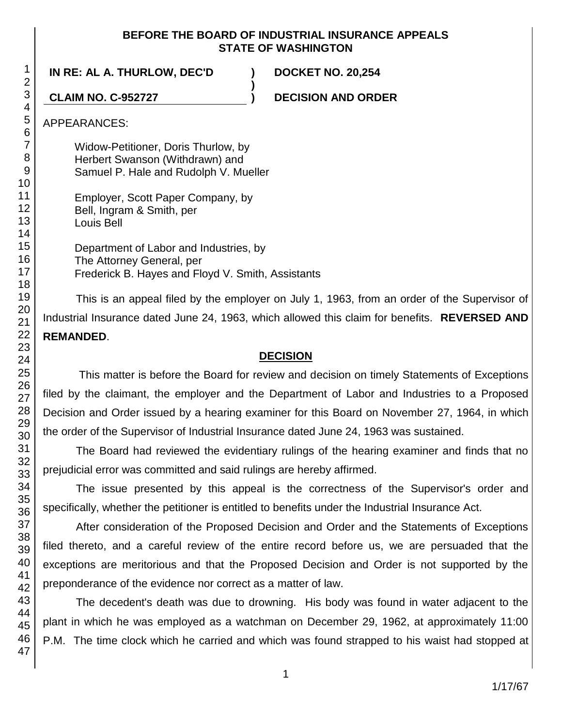### **BEFORE THE BOARD OF INDUSTRIAL INSURANCE APPEALS STATE OF WASHINGTON**

**)**

**IN RE: AL A. THURLOW, DEC'D ) DOCKET NO. 20,254**

**CLAIM NO. C-952727 ) DECISION AND ORDER**

## APPEARANCES:

Widow-Petitioner, Doris Thurlow, by Herbert Swanson (Withdrawn) and Samuel P. Hale and Rudolph V. Mueller

Employer, Scott Paper Company, by Bell, Ingram & Smith, per Louis Bell

Department of Labor and Industries, by The Attorney General, per Frederick B. Hayes and Floyd V. Smith, Assistants

This is an appeal filed by the employer on July 1, 1963, from an order of the Supervisor of Industrial Insurance dated June 24, 1963, which allowed this claim for benefits. **REVERSED AND REMANDED**.

# **DECISION**

This matter is before the Board for review and decision on timely Statements of Exceptions filed by the claimant, the employer and the Department of Labor and Industries to a Proposed Decision and Order issued by a hearing examiner for this Board on November 27, 1964, in which the order of the Supervisor of Industrial Insurance dated June 24, 1963 was sustained.

The Board had reviewed the evidentiary rulings of the hearing examiner and finds that no prejudicial error was committed and said rulings are hereby affirmed.

The issue presented by this appeal is the correctness of the Supervisor's order and specifically, whether the petitioner is entitled to benefits under the Industrial Insurance Act.

After consideration of the Proposed Decision and Order and the Statements of Exceptions filed thereto, and a careful review of the entire record before us, we are persuaded that the exceptions are meritorious and that the Proposed Decision and Order is not supported by the preponderance of the evidence nor correct as a matter of law.

The decedent's death was due to drowning. His body was found in water adjacent to the plant in which he was employed as a watchman on December 29, 1962, at approximately 11:00 P.M. The time clock which he carried and which was found strapped to his waist had stopped at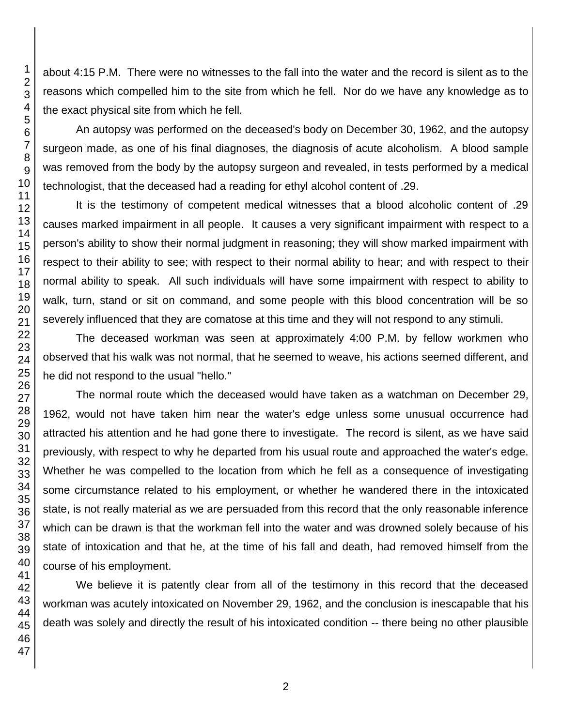about 4:15 P.M. There were no witnesses to the fall into the water and the record is silent as to the reasons which compelled him to the site from which he fell. Nor do we have any knowledge as to the exact physical site from which he fell.

An autopsy was performed on the deceased's body on December 30, 1962, and the autopsy surgeon made, as one of his final diagnoses, the diagnosis of acute alcoholism. A blood sample was removed from the body by the autopsy surgeon and revealed, in tests performed by a medical technologist, that the deceased had a reading for ethyl alcohol content of .29.

It is the testimony of competent medical witnesses that a blood alcoholic content of .29 causes marked impairment in all people. It causes a very significant impairment with respect to a person's ability to show their normal judgment in reasoning; they will show marked impairment with respect to their ability to see; with respect to their normal ability to hear; and with respect to their normal ability to speak. All such individuals will have some impairment with respect to ability to walk, turn, stand or sit on command, and some people with this blood concentration will be so severely influenced that they are comatose at this time and they will not respond to any stimuli.

The deceased workman was seen at approximately 4:00 P.M. by fellow workmen who observed that his walk was not normal, that he seemed to weave, his actions seemed different, and he did not respond to the usual "hello."

The normal route which the deceased would have taken as a watchman on December 29, 1962, would not have taken him near the water's edge unless some unusual occurrence had attracted his attention and he had gone there to investigate. The record is silent, as we have said previously, with respect to why he departed from his usual route and approached the water's edge. Whether he was compelled to the location from which he fell as a consequence of investigating some circumstance related to his employment, or whether he wandered there in the intoxicated state, is not really material as we are persuaded from this record that the only reasonable inference which can be drawn is that the workman fell into the water and was drowned solely because of his state of intoxication and that he, at the time of his fall and death, had removed himself from the course of his employment.

We believe it is patently clear from all of the testimony in this record that the deceased workman was acutely intoxicated on November 29, 1962, and the conclusion is inescapable that his death was solely and directly the result of his intoxicated condition -- there being no other plausible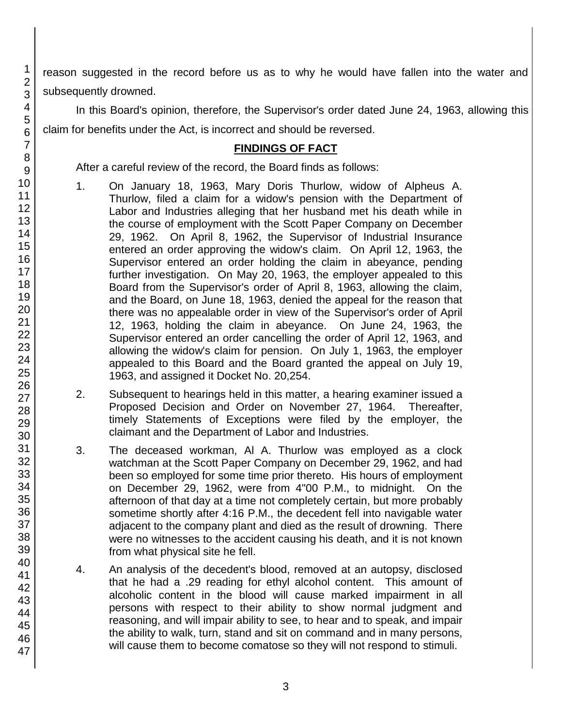reason suggested in the record before us as to why he would have fallen into the water and subsequently drowned.

In this Board's opinion, therefore, the Supervisor's order dated June 24, 1963, allowing this claim for benefits under the Act, is incorrect and should be reversed.

# **FINDINGS OF FACT**

After a careful review of the record, the Board finds as follows:

- 1. On January 18, 1963, Mary Doris Thurlow, widow of Alpheus A. Thurlow, filed a claim for a widow's pension with the Department of Labor and Industries alleging that her husband met his death while in the course of employment with the Scott Paper Company on December 29, 1962. On April 8, 1962, the Supervisor of Industrial Insurance entered an order approving the widow's claim. On April 12, 1963, the Supervisor entered an order holding the claim in abeyance, pending further investigation. On May 20, 1963, the employer appealed to this Board from the Supervisor's order of April 8, 1963, allowing the claim, and the Board, on June 18, 1963, denied the appeal for the reason that there was no appealable order in view of the Supervisor's order of April 12, 1963, holding the claim in abeyance. On June 24, 1963, the Supervisor entered an order cancelling the order of April 12, 1963, and allowing the widow's claim for pension. On July 1, 1963, the employer appealed to this Board and the Board granted the appeal on July 19, 1963, and assigned it Docket No. 20,254.
- 2. Subsequent to hearings held in this matter, a hearing examiner issued a Proposed Decision and Order on November 27, 1964. Thereafter, timely Statements of Exceptions were filed by the employer, the claimant and the Department of Labor and Industries.
- 3. The deceased workman, Al A. Thurlow was employed as a clock watchman at the Scott Paper Company on December 29, 1962, and had been so employed for some time prior thereto. His hours of employment on December 29, 1962, were from 4"00 P.M., to midnight. On the afternoon of that day at a time not completely certain, but more probably sometime shortly after 4:16 P.M., the decedent fell into navigable water adjacent to the company plant and died as the result of drowning. There were no witnesses to the accident causing his death, and it is not known from what physical site he fell.
- 4. An analysis of the decedent's blood, removed at an autopsy, disclosed that he had a .29 reading for ethyl alcohol content. This amount of alcoholic content in the blood will cause marked impairment in all persons with respect to their ability to show normal judgment and reasoning, and will impair ability to see, to hear and to speak, and impair the ability to walk, turn, stand and sit on command and in many persons, will cause them to become comatose so they will not respond to stimuli.

1